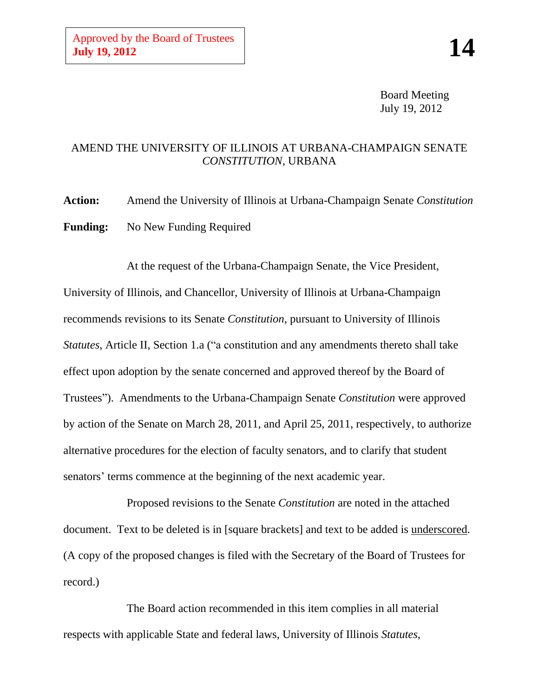Board Meeting July 19, 2012

### AMEND THE UNIVERSITY OF ILLINOIS AT URBANA-CHAMPAIGN SENATE *CONSTITUTION,* URBANA

**Action:** Amend the University of Illinois at Urbana-Champaign Senate *Constitution* **Funding:** No New Funding Required

At the request of the Urbana-Champaign Senate, the Vice President, University of Illinois, and Chancellor, University of Illinois at Urbana-Champaign recommends revisions to its Senate *Constitution*, pursuant to University of Illinois *Statutes*, Article II, Section 1.a ("a constitution and any amendments thereto shall take effect upon adoption by the senate concerned and approved thereof by the Board of Trustees"). Amendments to the Urbana-Champaign Senate *Constitution* were approved by action of the Senate on March 28, 2011, and April 25, 2011, respectively, to authorize alternative procedures for the election of faculty senators, and to clarify that student senators' terms commence at the beginning of the next academic year.

Proposed revisions to the Senate *Constitution* are noted in the attached document. Text to be deleted is in [square brackets] and text to be added is underscored. (A copy of the proposed changes is filed with the Secretary of the Board of Trustees for record.)

The Board action recommended in this item complies in all material respects with applicable State and federal laws, University of Illinois *Statutes*,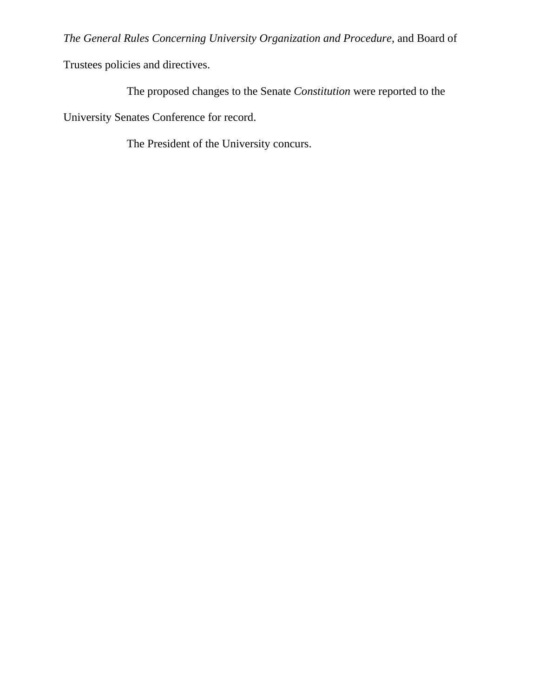*The General Rules Concerning University Organization and Procedure*, and Board of

Trustees policies and directives.

The proposed changes to the Senate *Constitution* were reported to the

University Senates Conference for record.

The President of the University concurs.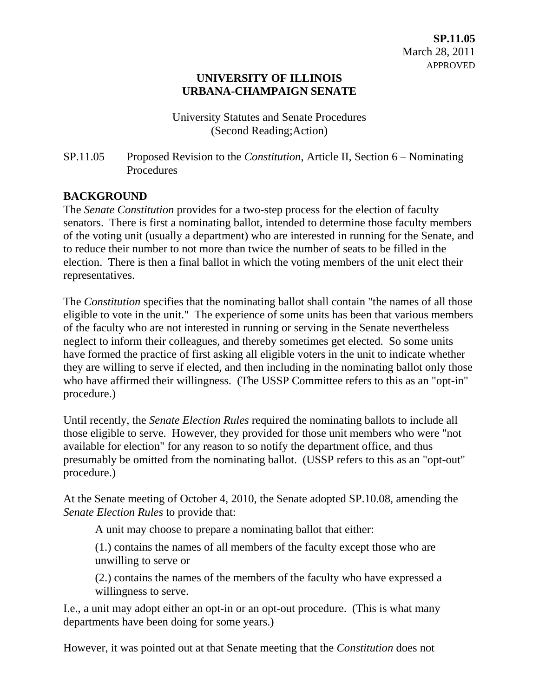#### **UNIVERSITY OF ILLINOIS URBANA-CHAMPAIGN SENATE**

University Statutes and Senate Procedures (Second Reading;Action)

SP.11.05 Proposed Revision to the *Constitution*, Article II, Section 6 – Nominating **Procedures** 

### **BACKGROUND**

The *Senate Constitution* provides for a two-step process for the election of faculty senators. There is first a nominating ballot, intended to determine those faculty members of the voting unit (usually a department) who are interested in running for the Senate, and to reduce their number to not more than twice the number of seats to be filled in the election. There is then a final ballot in which the voting members of the unit elect their representatives.

The *Constitution* specifies that the nominating ballot shall contain "the names of all those eligible to vote in the unit." The experience of some units has been that various members of the faculty who are not interested in running or serving in the Senate nevertheless neglect to inform their colleagues, and thereby sometimes get elected. So some units have formed the practice of first asking all eligible voters in the unit to indicate whether they are willing to serve if elected, and then including in the nominating ballot only those who have affirmed their willingness. (The USSP Committee refers to this as an "opt-in" procedure.)

Until recently, the *Senate Election Rules* required the nominating ballots to include all those eligible to serve. However, they provided for those unit members who were "not available for election" for any reason to so notify the department office, and thus presumably be omitted from the nominating ballot. (USSP refers to this as an "opt-out" procedure.)

At the Senate meeting of October 4, 2010, the Senate adopted SP.10.08, amending the *Senate Election Rules* to provide that:

A unit may choose to prepare a nominating ballot that either:

(1.) contains the names of all members of the faculty except those who are unwilling to serve or

(2.) contains the names of the members of the faculty who have expressed a willingness to serve.

I.e., a unit may adopt either an opt-in or an opt-out procedure. (This is what many departments have been doing for some years.)

However, it was pointed out at that Senate meeting that the *Constitution* does not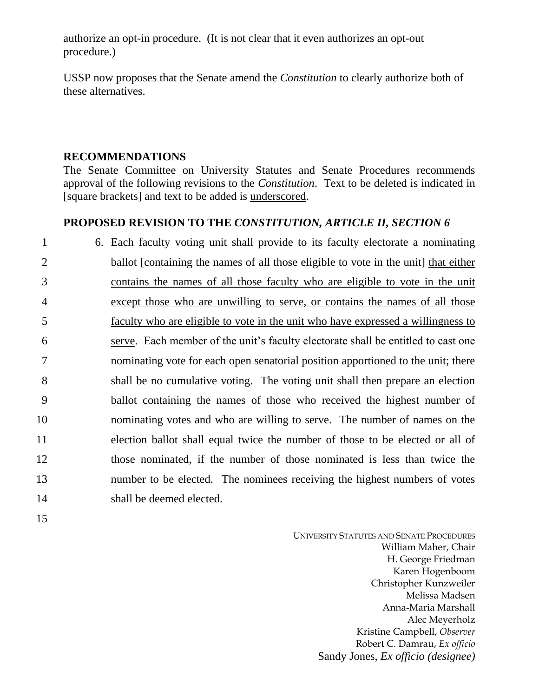authorize an opt-in procedure. (It is not clear that it even authorizes an opt-out procedure.)

USSP now proposes that the Senate amend the *Constitution* to clearly authorize both of these alternatives.

# **RECOMMENDATIONS**

The Senate Committee on University Statutes and Senate Procedures recommends approval of the following revisions to the *Constitution*. Text to be deleted is indicated in [square brackets] and text to be added is underscored.

# **PROPOSED REVISION TO THE** *CONSTITUTION, ARTICLE II, SECTION 6*

 6. Each faculty voting unit shall provide to its faculty electorate a nominating ballot [containing the names of all those eligible to vote in the unit] that either contains the names of all those faculty who are eligible to vote in the unit except those who are unwilling to serve, or contains the names of all those faculty who are eligible to vote in the unit who have expressed a willingness to serve. Each member of the unit's faculty electorate shall be entitled to cast one nominating vote for each open senatorial position apportioned to the unit; there shall be no cumulative voting. The voting unit shall then prepare an election ballot containing the names of those who received the highest number of nominating votes and who are willing to serve. The number of names on the election ballot shall equal twice the number of those to be elected or all of those nominated, if the number of those nominated is less than twice the 13 number to be elected. The nominees receiving the highest numbers of votes shall be deemed elected.

15

UNIVERSITY STATUTES AND SENATE PROCEDURES William Maher, Chair H. George Friedman Karen Hogenboom Christopher Kunzweiler Melissa Madsen Anna-Maria Marshall Alec Meyerholz Kristine Campbell, *Observer* Robert C. Damrau, *Ex officio* Sandy Jones, *Ex officio (designee)*